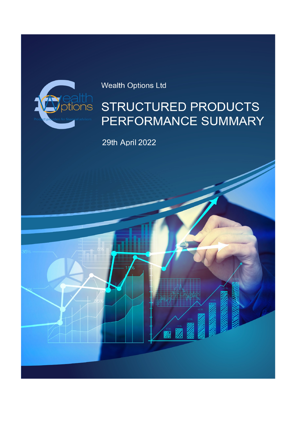

# Wealth Options Ltd

# STRUCTURED PRODUCTS PERFORMANCE SUMMARY

29th April 2022

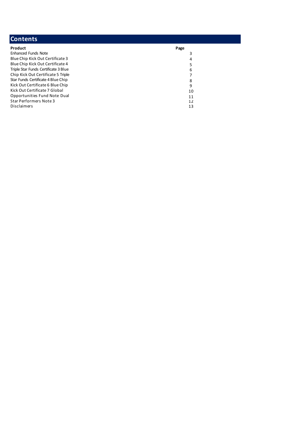| <b>Contents</b>                      |      |
|--------------------------------------|------|
| Product                              | Page |
| <b>Enhanced Funds Note</b>           | 3    |
| Blue Chip Kick Out Certificate 3     | 4    |
| Blue Chip Kick Out Certificate 4     | 5    |
| Triple Star Funds Certificate 3 Blue | 6    |
| Chip Kick Out Certificate 5 Triple   |      |
| Star Funds Certificate 4 Blue Chip   | 8    |
| Kick Out Certificate 6 Blue Chip     | 9    |
| Kick Out Certificate 7 Global        | 10   |
| Opportunities Fund Note Dual         | 11   |
| Star Performers Note 3               | 12   |
| Disclaimers                          | 13   |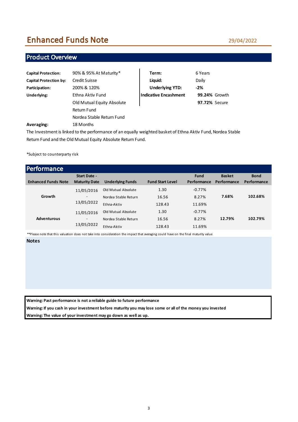# Enhanced Funds Note

### Product Overview

| <b>Capital Protection:</b>    | 90% & 95% At Maturity*     | Term:                        | 6 Years              |
|-------------------------------|----------------------------|------------------------------|----------------------|
| <b>Capital Protection by:</b> | Credit Suisse              | Liquid:                      | Daily                |
| Participation:                | 200% & 120%                | <b>Underlying YTD:</b>       | $-2\%$               |
| Underlying:                   | Ethna Aktiv Fund           | <b>Indicative Encashment</b> | <b>99.24% Growth</b> |
|                               | Old Mutual Equity Absolute |                              | <b>97.72% Secure</b> |
|                               | Return Fund                |                              |                      |
|                               | Nordea Stable Return Fund  |                              |                      |
| Averaging:                    | 18 Months                  |                              |                      |

The Investment is linked to the performance of an equally weighted basket of Ethna Aktiv Fund, Nordea Stable Return Fund and the Old Mutual Equity Absolute Return Fund.

\*Subject to counterparty risk

| Performance                |                                      |                                                            |                         |                             |                              |                            |
|----------------------------|--------------------------------------|------------------------------------------------------------|-------------------------|-----------------------------|------------------------------|----------------------------|
| <b>Enhanced Funds Note</b> | Start Date -<br><b>Maturity Date</b> | <b>Underlying Funds</b>                                    | <b>Fund Start Level</b> | <b>Fund</b><br>Performance  | <b>Basket</b><br>Performance | <b>Bond</b><br>Performance |
| Growth                     | 11/05/2016<br>-<br>13/05/2022        | Old Mutual Absolute<br>Nordea Stable Return<br>Ethna-Aktiv | 1.30<br>16.56<br>128.43 | $-0.77%$<br>8.27%<br>11.69% | 7.68%                        | 102.68%                    |
| <b>Adventurous</b>         | 11/05/2016<br>-<br>13/05/2022        | Old Mutual Absolute<br>Nordea Stable Return<br>Ethna-Aktiv | 1.30<br>16.56<br>128.43 | $-0.77%$<br>8.27%<br>11.69% | 12.79%                       | 102.79%                    |

\*\*Please note that this valuation does not take into consideration the impact that averaging could have on the final maturity value

**Notes**

**Warning: Past performance is not a reliable guide to future performance**

**Warning: If you cash in your investment before maturity you may lose some or all of the money you invested**

**Warning: The value of your investment may go down as well as up.**

#### 29/04/2022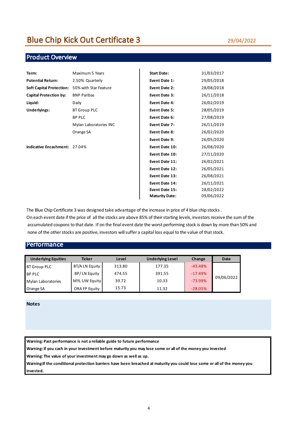### Product Overview

| Term:                                          | Maximum 5 Years        | <b>Start Date:</b>    | 31/03/2017 |
|------------------------------------------------|------------------------|-----------------------|------------|
| <b>Potential Return:</b>                       | 2.50% Quarterly        | Event Date 1:         | 29/05/2018 |
| Soft Capital Protection: 50% with Star Feature |                        | Event Date 2:         | 28/08/2018 |
| <b>Capital Protection by:</b>                  | <b>BNP Paribas</b>     | Event Date 3:         | 26/11/2018 |
| Liquid:                                        | Daily                  | Event Date 4:         | 26/02/2019 |
| Underlyings:                                   | <b>BT Group PLC</b>    | Event Date 5:         | 28/05/2019 |
|                                                | <b>BP PLC</b>          | Event Date 6:         | 27/08/2019 |
|                                                | Mylan Laboratories INC | Event Date 7:         | 26/11/2019 |
|                                                | Orange SA              | Event Date 8:         | 26/02/2020 |
|                                                |                        | Event Date 9:         | 26/05/2020 |
| Indicative Encashment: 27.04%                  |                        | Event Date 10:        | 26/08/2020 |
|                                                |                        | Event Date 10:        | 27/11/2020 |
|                                                |                        | Event Date 11:        | 26/02/2021 |
|                                                |                        | Event Date 12:        | 26/05/2021 |
|                                                |                        | Event Date 13:        | 26/08/2021 |
|                                                |                        | Event Date 14:        | 26/11/2021 |
|                                                |                        | Event Date 15:        | 28/02/2022 |
|                                                |                        | <b>Maturity Date:</b> | 09/06/2022 |

The Blue Chip Certificate 3 was designed take advantage of the increase in price of 4 blue chip stocks .

On each event date if the price of all the stocks are above 85% of their starting levels, investors receive the sum of the accumulated coupons to that date. If on the final event date the worst performing stock is down by more than 50% and none of the other stocks are positive, investors will suffer a capital loss equal to the value of that stock.

#### **Performance**

| <b>Underlying Equities</b> | <b>Ticker</b>  | Level  | <b>Underlying Level</b> | Change    | <b>Date</b> |
|----------------------------|----------------|--------|-------------------------|-----------|-------------|
| BT Group PLC               | BT/A LN Equity | 313.80 | 177.35                  | $-43.48%$ |             |
| <b>BP PLC</b>              | BP/LN Equity   | 474.55 | 391.55                  | $-17.49%$ |             |
| Mylan Laboratories         | MYL UW Equity  | 39.72  | 10.33                   | $-73.99%$ | 09/06/2022  |
| Orange SA                  | ORA FP Equity  | 15.73  | 11.32                   | $-28.05%$ |             |

#### **Notes**

**Warning: Past performance is not a reliable guide to future performance**

**Warning: If you cash in your investment before maturity you may lose some or all of the money you invested**

**Warning: The value of your investment may go down as well as up.**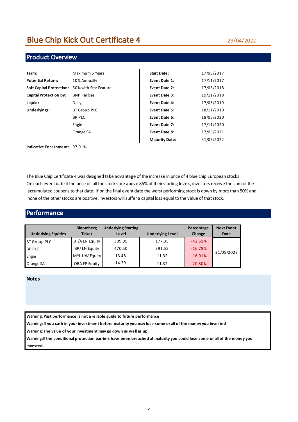#### 29/04/2022

### Product Overview

| Term:                           | Maximum 5 Years       | <b>Start Date:</b>    | 17/05/2017 |
|---------------------------------|-----------------------|-----------------------|------------|
| <b>Potential Return:</b>        | 10% Annually          | Event Date 1:         | 17/11/2017 |
| <b>Soft Capital Protection:</b> | 50% with Star Feature | Event Date 2:         | 17/05/2018 |
| <b>Capital Protection by:</b>   | <b>BNP Paribas</b>    | Event Date 3:         | 19/11/2018 |
| Liquid:                         | Daily                 | Event Date 4:         | 17/05/2019 |
| Underlyings:                    | <b>BT Group PLC</b>   | Event Date 5:         | 18/11/2019 |
|                                 | <b>BP PLC</b>         | Event Date 6:         | 18/05/2020 |
|                                 | Engie                 | Event Date 7:         | 17/11/2020 |
|                                 | Orange SA             | Event Date 8:         | 17/05/2021 |
|                                 |                       | <b>Maturity Date:</b> | 31/05/2022 |
| Indicative Encashment: 97.01%   |                       |                       |            |

The Blue Chip Certificate 4 was designed take advantage of the increase in price of 4 blue chip European stocks . On each event date if the price of all the stocks are above 85% of their starting levels, investors receive the sum of the accumulated coupons to that date. If on the final event date the worst performing stock is down by more than 50% and none of the other stocks are positive, investors will suffer a capital loss equal to the value of that stock.

#### Performance

| <b>Underlying Equities</b> | <b>Bloomberg</b><br><b>Ticker</b> | <b>Underlying Starting</b><br>Level | <b>Underlying Level</b> | Percentage<br>Change | <b>Next Event</b><br><b>Date</b> |
|----------------------------|-----------------------------------|-------------------------------------|-------------------------|----------------------|----------------------------------|
| <b>BT Group PLC</b>        | BT/A LN Equity                    | 309.05                              | 177.35                  | $-42.61%$            |                                  |
| <b>BP PLC</b>              | BP/LN Equity                      | 470.50                              | 391.55                  | $-16.78%$            |                                  |
| Engie                      | MYL UW Equity                     | 13.48                               | 11.32                   | $-16.01%$            | 31/05/2022                       |
| Orange SA                  | ORA FP Equity                     | 14.29                               | 11.32                   | $-20.80%$            |                                  |

#### **Notes**

**Warning: Past performance is not a reliable guide to future performance**

**Warning: If you cash in your investment before maturity you may lose some or all of the money you invested**

**Warning: The value of your investment may go down as well as up.**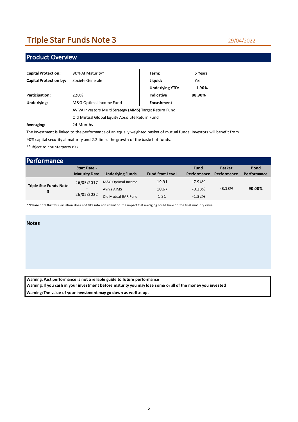# Triple Star Funds Note 3

29/04/2022

### Product Overview

| <b>Capital Protection:</b>    | 90% At Maturity*                                         | Term:                  | 5 Years  |  |
|-------------------------------|----------------------------------------------------------|------------------------|----------|--|
| <b>Capital Protection by:</b> | Societe Generale                                         | Liquid:                | Yes      |  |
|                               |                                                          | <b>Underlying YTD:</b> | $-1.90%$ |  |
| Participation:                | 220%                                                     | Indicative             | 88.90%   |  |
| Underlying:                   | M&G Optimal Income Fund                                  | Encashment             |          |  |
|                               | AVIVA Investors Multi Strategy (AIMS) Target Return Fund |                        |          |  |
|                               | Old Mutual Global Equity Absolute Return Fund            |                        |          |  |
| Averaging:                    | 24 Months                                                |                        |          |  |

The Investment is linked to the performance of an equally weighted basket of mutual funds. Investors will benefit from

90% capital security at maturity and 2.2 times the growth of the basket of funds.

\*Subject to counterparty risk

| <b>Performance</b>                 |                                                      |                                                         |                         |                                  |                              |                            |
|------------------------------------|------------------------------------------------------|---------------------------------------------------------|-------------------------|----------------------------------|------------------------------|----------------------------|
|                                    | <b>Start Date -</b><br><b>Maturity Date</b>          | <b>Underlying Funds</b>                                 | <b>Fund Start Level</b> | <b>Fund</b><br>Performance       | <b>Basket</b><br>Performance | <b>Bond</b><br>Performance |
| <b>Triple Star Funds Note</b><br>3 | 26/05/2017<br>$\overline{\phantom{a}}$<br>26/05/2022 | M&G Optimal Income<br>Aviva AIMS<br>Old Mutual EAR Fund | 19.91<br>10.67<br>1.31  | $-7.94%$<br>$-0.28%$<br>$-1.32%$ | $-3.18%$                     | 90.00%                     |

\*\*Please note that this valuation does not take into consideration the impact that averaging could have on the final maturity value

#### **Notes**

**Warning: Past performance is not a reliable guide to future performance Warning: If you cash in your investment before maturity you may lose some or all of the money you invested Warning: The value of your investment may go down as well as up.**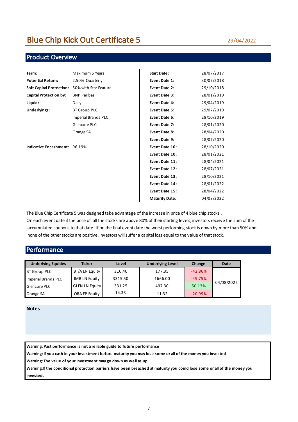### Product Overview

| Term:                                          | Maximum 5 Years     | <b>Start Date:</b>    | 28/07/2017 |
|------------------------------------------------|---------------------|-----------------------|------------|
| <b>Potential Return:</b>                       | 2.50% Quarterly     | Event Date 1:         | 30/07/2018 |
| Soft Capital Protection: 50% with Star Feature |                     | Event Date 2:         | 29/10/2018 |
| <b>Capital Protection by:</b>                  | <b>BNP Paribas</b>  | Event Date 3:         | 28/01/2019 |
| Liquid:                                        | Daily               | Event Date 4:         | 29/04/2019 |
| Underlyings:                                   | <b>BT Group PLC</b> | Event Date 5:         | 29/07/2019 |
|                                                | Imperial Brands PLC | Event Date 6:         | 28/10/2019 |
|                                                | Glencore PLC        | Event Date 7:         | 28/01/2020 |
|                                                | Orange SA           | Event Date 8:         | 28/04/2020 |
|                                                |                     | Event Date 9:         | 28/07/2020 |
| Indicative Encashment: 96.19%                  |                     | Event Date 10:        | 28/10/2020 |
|                                                |                     | Event Date 10:        | 28/01/2021 |
|                                                |                     | Event Date 11:        | 28/04/2021 |
|                                                |                     | Event Date 12:        | 28/07/2021 |
|                                                |                     | Event Date 13:        | 28/10/2021 |
|                                                |                     | Event Date 14:        | 28/01/2022 |
|                                                |                     | Event Date 15:        | 28/04/2022 |
|                                                |                     | <b>Maturity Date:</b> | 04/08/2022 |
|                                                |                     |                       |            |

The Blue Chip Certificate 5 was designed take advantage of the increase in price of 4 blue chip stocks .

On each event date if the price of all the stocks are above 80% of their starting levels, investors receive the sum of the accumulated coupons to that date. If on the final event date the worst performing stock is down by more than 50% and none of the other stocks are positive, investors will suffer a capital loss equal to the value of that stock.

### Performance

| <b>Underlying Equities</b> | <b>Ticker</b>         | Level   | <b>Underlying Level</b> | Change    | <b>Date</b> |
|----------------------------|-----------------------|---------|-------------------------|-----------|-------------|
| <b>BT Group PLC</b>        | BT/A LN Equity        | 310.40  | 177.35                  | $-42.86%$ |             |
| Imperial Brands PLC        | IMB LN Equity         | 3315.50 | 1666.00                 | $-49.75%$ |             |
| Glencore PLC               | <b>GLEN LN Equity</b> | 331.25  | 497.30                  | 50.13%    | 04/08/2022  |
| Orange SA                  | ORA FP Equity         | 14.33   | 11.32                   | $-20.99%$ |             |

#### **Notes**

**Warning: Past performance is not a reliable guide to future performance**

**Warning: If you cash in your investment before maturity you may lose some or all of the money you invested**

**Warning: The value of your investment may go down as well as up.**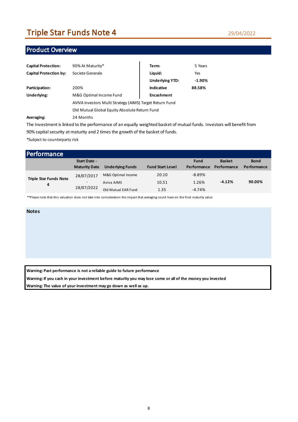# Triple Star Funds Note 4

#### 29/04/2022

### Product Overview

| <b>Capital Protection:</b>    | 90% At Maturity*                                         | Term:                  | 5 Years  |  |
|-------------------------------|----------------------------------------------------------|------------------------|----------|--|
| <b>Capital Protection by:</b> | Societe Generale                                         | Liquid:                | Yes      |  |
|                               |                                                          | <b>Underlying YTD:</b> | $-1.90%$ |  |
| Participation:                | 200%                                                     | Indicative             | 88.58%   |  |
| Underlying:                   | M&G Optimal Income Fund                                  | Encashment             |          |  |
|                               | AVIVA Investors Multi Strategy (AIMS) Target Return Fund |                        |          |  |
|                               | Old Mutual Global Equity Absolute Return Fund            |                        |          |  |
| Averaging:                    | 24 Months                                                |                        |          |  |

The Investment is linked to the performance of an equally weighted basket of mutual funds. Investors will benefit from 90% capital security at maturity and 2 times the growth of the basket of funds. \*Subject to counterparty risk

| Performance                        |                          |                         |                         |             |               |             |
|------------------------------------|--------------------------|-------------------------|-------------------------|-------------|---------------|-------------|
|                                    | Start Date -             |                         |                         | <b>Fund</b> | <b>Basket</b> | <b>Bond</b> |
|                                    | <b>Maturity Date</b>     | <b>Underlying Funds</b> | <b>Fund Start Level</b> | Performance | Performance   | Performance |
| <b>Triple Star Funds Note</b><br>4 | 28/07/2017               | M&G Optimal Income      | 20.10                   | $-8.89%$    |               |             |
|                                    | $\overline{\phantom{a}}$ | Aviva AIMS              | 10.51                   | 1.26%       | $-4.12%$      | 90.00%      |
|                                    | 28/07/2022               | Old Mutual EAR Fund     | 1.35                    | $-4.74%$    |               |             |

\*\*Please note that this valuation does not take into consideration the impact that averaging could have on the final maturity value

#### **Notes**

**Warning: Past performance is not a reliable guide to future performance**

**Warning: If you cash in your investment before maturity you may lose some or all of the money you invested**

**Warning: The value of your investment may go down as well as up.**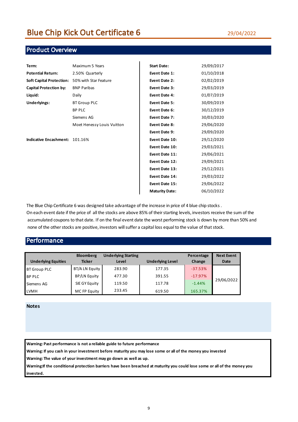### Product Overview

| Term:                           | Maximum 5 Years            | <b>Start Date:</b>    | 29/09/2017 |
|---------------------------------|----------------------------|-----------------------|------------|
| <b>Potential Return:</b>        | 2.50% Quarterly            | Event Date 1:         | 01/10/2018 |
| <b>Soft Capital Protection:</b> | 50% with Star Feature      | Event Date 2:         | 02/02/2019 |
| <b>Capital Protection by:</b>   | <b>BNP Paribas</b>         | Event Date 3:         | 29/03/2019 |
| Liquid:                         | Daily                      | Event Date 4:         | 01/07/2019 |
| Underlyings:                    | <b>BT Group PLC</b>        | Event Date 5:         | 30/09/2019 |
|                                 | <b>BP PLC</b>              | Event Date 6:         | 30/12/2019 |
|                                 | Siemens AG                 | Event Date 7:         | 30/03/2020 |
|                                 | Moet Henessy Louis Vuitton | Event Date 8:         | 29/06/2020 |
|                                 |                            | Event Date 9:         | 29/09/2020 |
| Indicative Encashment: 101.16%  |                            | Event Date 10:        | 29/12/2020 |
|                                 |                            | Event Date 10:        | 29/03/2021 |
|                                 |                            | Event Date 11:        | 29/06/2021 |
|                                 |                            | Event Date 12:        | 29/09/2021 |
|                                 |                            | Event Date 13:        | 29/12/2021 |
|                                 |                            | Event Date 14:        | 29/03/2022 |
|                                 |                            | Event Date 15:        | 29/06/2022 |
|                                 |                            | <b>Maturity Date:</b> | 06/10/2022 |
|                                 |                            |                       |            |

The Blue Chip Certificate 6 was designed take advantage of the increase in price of 4 blue chip stocks .

On each event date if the price of all the stocks are above 85% of their starting levels, investors receive the sum of the accumulated coupons to that date. If on the final event date the worst performing stock is down by more than 50% and none of the other stocks are positive, investors will suffer a capital loss equal to the value of that stock.

#### **Performance**

| <b>Underlying Equities</b> | <b>Bloomberg</b><br><b>Ticker</b> | <b>Underlying Starting</b><br>Level | <b>Underlying Level</b> | Percentage<br>Change | <b>Next Event</b><br><b>Date</b> |
|----------------------------|-----------------------------------|-------------------------------------|-------------------------|----------------------|----------------------------------|
| <b>BT Group PLC</b>        | BT/A LN Equity                    | 283.90                              | 177.35                  | $-37.53%$            |                                  |
| <b>BP PLC</b>              | <b>BP/LN Equity</b>               | 477.30                              | 391.55                  | $-17.97%$            |                                  |
| Siemens AG                 | SIE GY Equity                     | 119.50                              | 117.78                  | $-1.44%$             | 29/06/2022                       |
| <b>LVMH</b>                | MC FP Equity                      | 233.45                              | 619.50                  | 165.37%              |                                  |

**Notes**

**Warning: Past performance is not a reliable guide to future performance**

**Warning: If you cash in your investment before maturity you may lose some or all of the money you invested**

**Warning: The value of your investment may go down as well as up.**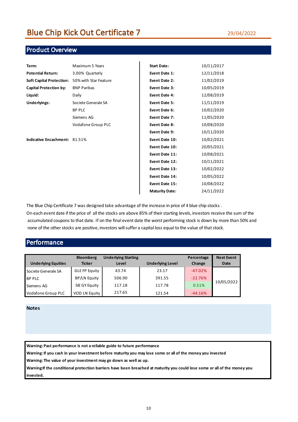### Product Overview

| Term:                           | Maximum 5 Years       | <b>Start Date:</b>    | 10/11/2017 |
|---------------------------------|-----------------------|-----------------------|------------|
| <b>Potential Return:</b>        | 3.00% Quarterly       | Event Date 1:         | 12/11/2018 |
| <b>Soft Capital Protection:</b> | 50% with Star Feature | Event Date 2:         | 11/02/2019 |
| <b>Capital Protection by:</b>   | <b>BNP Paribas</b>    | Event Date 3:         | 10/05/2019 |
| Liquid:                         | Daily                 | Event Date 4:         | 12/08/2019 |
| Underlyings:                    | Societe Generale SA   | Event Date 5:         | 11/11/2019 |
|                                 | <b>BP PLC</b>         | Event Date 6:         | 10/02/2020 |
|                                 | Siemens AG            | Event Date 7:         | 11/05/2020 |
|                                 | Vodafone Group PLC    | Event Date 8:         | 10/08/2020 |
|                                 |                       | Event Date 9:         | 10/11/2020 |
| Indicative Encashment: 81.51%   |                       | Event Date 10:        | 10/02/2021 |
|                                 |                       | Event Date 10:        | 20/05/2021 |
|                                 |                       | Event Date 11:        | 10/08/2021 |
|                                 |                       | Event Date 12:        | 10/11/2021 |
|                                 |                       | Event Date 13:        | 10/02/2022 |
|                                 |                       | Event Date 14:        | 10/05/2022 |
|                                 |                       | Event Date 15:        | 10/08/2022 |
|                                 |                       | <b>Maturity Date:</b> | 24/11/2022 |
|                                 |                       |                       |            |

The Blue Chip Certificate 7 was designed take advantage of the increase in price of 4 blue chip stocks .

On each event date if the price of all the stocks are above 85% of their starting levels, investors receive the sum of the accumulated coupons to that date. If on the final event date the worst performing stock is down by more than 50% and none of the other stocks are positive, investors will suffer a capital loss equal to the value of that stock.

### Performance

| <b>Underlying Equities</b> | <b>Bloomberg</b><br><b>Ticker</b> | <b>Underlying Starting</b><br>Level | <b>Underlying Level</b> | Percentage<br>Change | <b>Next Event</b><br><b>Date</b> |
|----------------------------|-----------------------------------|-------------------------------------|-------------------------|----------------------|----------------------------------|
| Societe Generale SA        | <b>GLE FP Equity</b>              | 43.74                               | 23.17                   | $-47.02%$            |                                  |
| <b>BP PLC</b>              | BP/LN Equity                      | 506.90                              | 391.55                  | $-22.76%$            |                                  |
| Siemens AG                 | SIE GY Equity                     | 117.18                              | 117.78                  | 0.51%                | 10/05/2022                       |
| Vodafone Group PLC         | <b>VOD LN Equity</b>              | 217.65                              | 121.54                  | $-44.16%$            |                                  |

#### **Notes**

**Warning: Past performance is not a reliable guide to future performance**

**Warning: If you cash in your investment before maturity you may lose some or all of the money you invested**

**Warning: The value of your investment may go down as well as up.**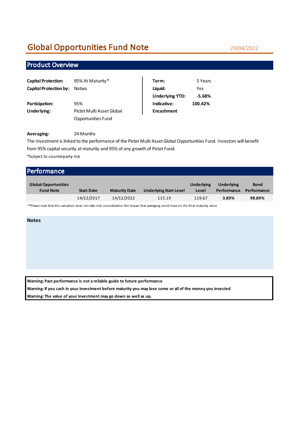# Global Opportunities Fund Note

### Product Overview

| <b>Capital Protection:</b> | 95% At Maturity*          | Term:                  | 5 Years  |
|----------------------------|---------------------------|------------------------|----------|
| Capital Protection by:     | Natixis                   | Liquid:                | Yes      |
|                            |                           | <b>Underlying YTD:</b> | $-5.68%$ |
| Participation:             | 95%                       | Indicative:            | 100.42%  |
| Underlying:                | Pictet Multi Asset Global | <b>Encashment</b>      |          |
|                            | Opportunities Fund        |                        |          |

| Term:                  | 5 Years  |
|------------------------|----------|
| Liquid:                | Yes      |
| <b>Underlying YTD:</b> | $-5.68%$ |
| Indicative:            | 100.42%  |
| <b>Encashment</b>      |          |

#### **Averaging:** 24 Months

The Investment is linked to the performance of the Pictet Multi Asset Global Opportunities Fund. Investors will benefit from 95% capital security at maturity and 95% of any growth of Pictet Fund.

\*Subject to counterparty risk

| <b>Performance</b>                              |                   |                      |                               |                            |                                  |                            |
|-------------------------------------------------|-------------------|----------------------|-------------------------------|----------------------------|----------------------------------|----------------------------|
| <b>Global Opportunities</b><br><b>Fund Note</b> | <b>Start Date</b> | <b>Maturity Date</b> | <b>Underlying Start Level</b> | <b>Underlying</b><br>Level | <b>Underlying</b><br>Performance | <b>Bond</b><br>Performance |
|                                                 | 14/12/2017        | 14/12/2022           | 115.19                        | 119.67                     | 3.89%                            | 98.89%                     |

\*\*Please note that this valuation does not take into consideration the impact that averaging could have on the final maturity value

#### **Notes**

**Warning: Past performance is not a reliable guide to future performance**

**Warning: If you cash in your investment before maturity you may lose some or all of the money you invested**

**Warning: The value of your investment may go down as well as up.**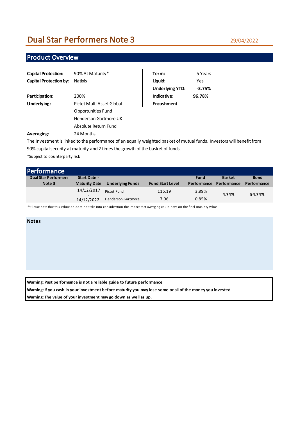# Dual Star Performers Note 3

#### 29/04/2022

### Product Overview

| <b>Capital Protection:</b>    | 90% At Maturity*          | Term:                  | 5 Years    |
|-------------------------------|---------------------------|------------------------|------------|
| <b>Capital Protection by:</b> | <b>Natixis</b>            | Liquid:                | <b>Yes</b> |
|                               |                           | <b>Underlying YTD:</b> | $-3.75%$   |
| Participation:                | 200%                      | Indicative:            | 96.78%     |
| Underlying:                   | Pictet Multi Asset Global | Encashment             |            |
|                               | Opportunities Fund        |                        |            |
|                               | Henderson Gartmore UK     |                        |            |
|                               | Absolute Return Fund      |                        |            |
| Averaging:                    | 24 Months                 |                        |            |

The Investment is linked to the performance of an equally weighted basket of mutual funds. Investors will benefit from 90% capital security at maturity and 2 times the growth of the basket of funds.

\*Subject to counterparty risk

| <b>Performance</b>          |                      |                           |                         |             |               |             |
|-----------------------------|----------------------|---------------------------|-------------------------|-------------|---------------|-------------|
| <b>Dual Star Performers</b> | Start Date -         |                           |                         | <b>Fund</b> | <b>Basket</b> | <b>Bond</b> |
| Note 3                      | <b>Maturity Date</b> | <b>Underlying Funds</b>   | <b>Fund Start Level</b> | Performance | Performance   | Performance |
|                             | 14/12/2017<br>$\sim$ | Pictet Fund               | 115.19                  | 3.89%       | 4.74%         | 94.74%      |
|                             | 14/12/2022           | <b>Henderson Gartmore</b> | 7.06                    | 0.85%       |               |             |

\*\*Please note that this valuation does not take into consideration the impact that averaging could have on the final maturity value

#### **Notes**

**Warning: Past performance is not a reliable guide to future performance**

**Warning: If you cash in your investment before maturity you may lose some or all of the money you invested**

**Warning: The value of your investment may go down as well as up.**